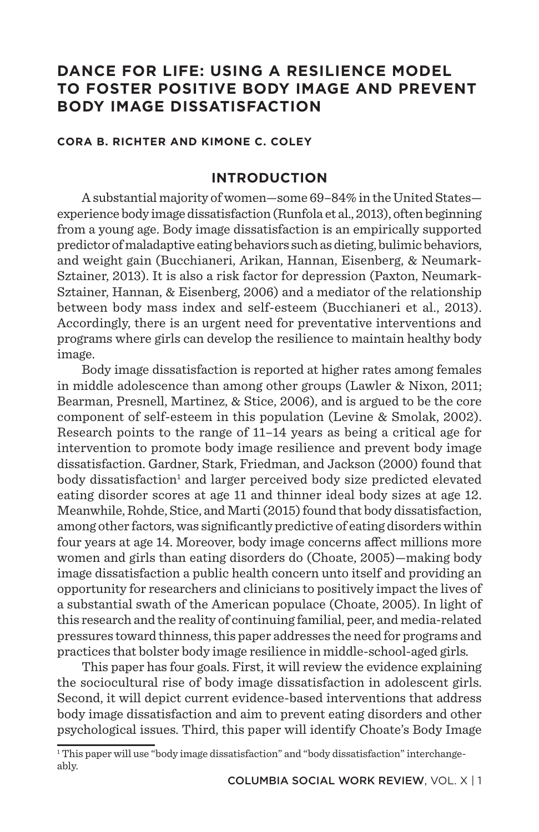# **DANCE FOR LIFE: USING A RESILIENCE MODEL TO FOSTER POSITIVE BODY IMAGE AND PREVENT BODY IMAGE DISSATISFACTION**

#### **CORA B. RICHTER AND KIMONE C. COLEY**

### **INTRODUCTION**

A substantial majority of women—some 69–84% in the United States experience body image dissatisfaction (Runfola et al., 2013), often beginning from a young age. Body image dissatisfaction is an empirically supported predictor of maladaptive eating behaviors such as dieting, bulimic behaviors, and weight gain (Bucchianeri, Arikan, Hannan, Eisenberg, & Neumark-Sztainer, 2013). It is also a risk factor for depression (Paxton, Neumark-Sztainer, Hannan, & Eisenberg, 2006) and a mediator of the relationship between body mass index and self-esteem (Bucchianeri et al., 2013). Accordingly, there is an urgent need for preventative interventions and programs where girls can develop the resilience to maintain healthy body image.

Body image dissatisfaction is reported at higher rates among females in middle adolescence than among other groups (Lawler & Nixon, 2011; Bearman, Presnell, Martinez, & Stice, 2006), and is argued to be the core component of self-esteem in this population (Levine & Smolak, 2002). Research points to the range of 11–14 years as being a critical age for intervention to promote body image resilience and prevent body image dissatisfaction. Gardner, Stark, Friedman, and Jackson (2000) found that body dissatisfaction<sup>1</sup> and larger perceived body size predicted elevated eating disorder scores at age 11 and thinner ideal body sizes at age 12. Meanwhile, Rohde, Stice, and Marti (2015) found that body dissatisfaction, among other factors, was significantly predictive of eating disorders within four years at age 14. Moreover, body image concerns affect millions more women and girls than eating disorders do (Choate, 2005)—making body image dissatisfaction a public health concern unto itself and providing an opportunity for researchers and clinicians to positively impact the lives of a substantial swath of the American populace (Choate, 2005). In light of this research and the reality of continuing familial, peer, and media-related pressures toward thinness, this paper addresses the need for programs and practices that bolster body image resilience in middle-school-aged girls.

This paper has four goals. First, it will review the evidence explaining the sociocultural rise of body image dissatisfaction in adolescent girls. Second, it will depict current evidence-based interventions that address body image dissatisfaction and aim to prevent eating disorders and other psychological issues. Third, this paper will identify Choate's Body Image

<sup>1</sup> This paper will use "body image dissatisfaction" and "body dissatisfaction" interchangeably.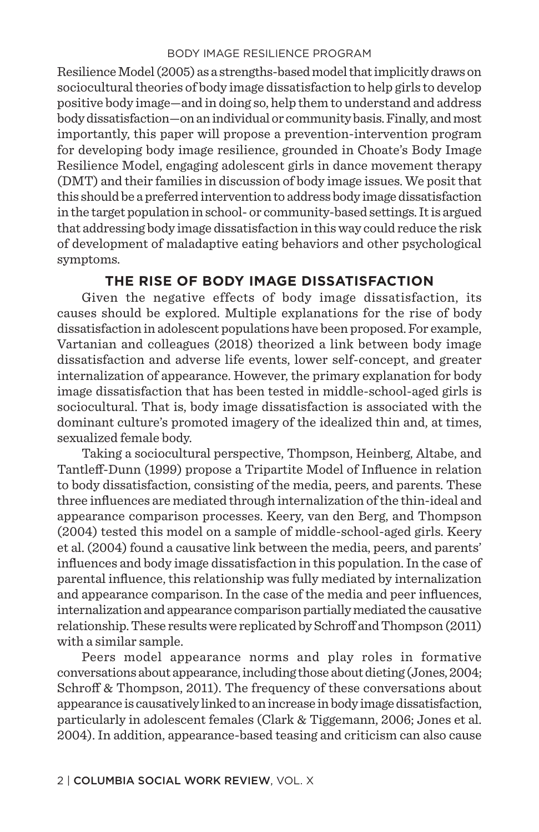Resilience Model (2005) as a strengths-based model that implicitly draws on sociocultural theories of body image dissatisfaction to help girls to develop positive body image—and in doing so, help them to understand and address body dissatisfaction—on an individual or community basis. Finally, and most importantly, this paper will propose a prevention-intervention program for developing body image resilience, grounded in Choate's Body Image Resilience Model, engaging adolescent girls in dance movement therapy (DMT) and their families in discussion of body image issues. We posit that this should be a preferred intervention to address body image dissatisfaction in the target population in school- or community-based settings. It is argued that addressing body image dissatisfaction in this way could reduce the risk of development of maladaptive eating behaviors and other psychological symptoms.

### **THE RISE OF BODY IMAGE DISSATISFACTION**

Given the negative effects of body image dissatisfaction, its causes should be explored. Multiple explanations for the rise of body dissatisfaction in adolescent populations have been proposed. For example, Vartanian and colleagues (2018) theorized a link between body image dissatisfaction and adverse life events, lower self-concept, and greater internalization of appearance. However, the primary explanation for body image dissatisfaction that has been tested in middle-school-aged girls is sociocultural. That is, body image dissatisfaction is associated with the dominant culture's promoted imagery of the idealized thin and, at times, sexualized female body.

Taking a sociocultural perspective, Thompson, Heinberg, Altabe, and Tantleff-Dunn (1999) propose a Tripartite Model of Influence in relation to body dissatisfaction, consisting of the media, peers, and parents. These three influences are mediated through internalization of the thin-ideal and appearance comparison processes. Keery, van den Berg, and Thompson (2004) tested this model on a sample of middle-school-aged girls. Keery et al. (2004) found a causative link between the media, peers, and parents' influences and body image dissatisfaction in this population. In the case of parental influence, this relationship was fully mediated by internalization and appearance comparison. In the case of the media and peer influences, internalization and appearance comparison partially mediated the causative relationship. These results were replicated by Schroff and Thompson (2011) with a similar sample.

Peers model appearance norms and play roles in formative conversations about appearance, including those about dieting (Jones, 2004; Schroff & Thompson, 2011). The frequency of these conversations about appearance is causatively linked to an increase in body image dissatisfaction, particularly in adolescent females (Clark & Tiggemann, 2006; Jones et al. 2004). In addition, appearance-based teasing and criticism can also cause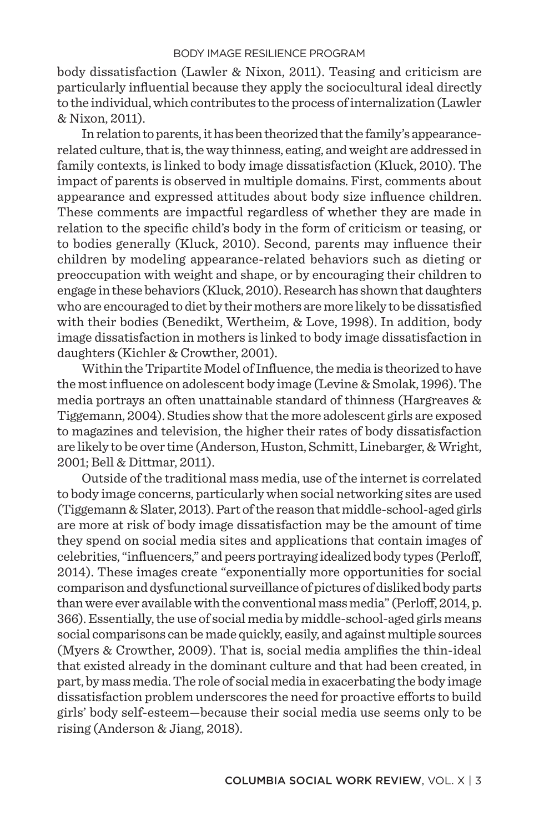body dissatisfaction (Lawler & Nixon, 2011). Teasing and criticism are particularly influential because they apply the sociocultural ideal directly to the individual, which contributes to the process of internalization (Lawler & Nixon, 2011).

In relation to parents, it has been theorized that the family's appearancerelated culture, that is, the way thinness, eating, and weight are addressed in family contexts, is linked to body image dissatisfaction (Kluck, 2010). The impact of parents is observed in multiple domains. First, comments about appearance and expressed attitudes about body size influence children. These comments are impactful regardless of whether they are made in relation to the specific child's body in the form of criticism or teasing, or to bodies generally (Kluck, 2010). Second, parents may influence their children by modeling appearance-related behaviors such as dieting or preoccupation with weight and shape, or by encouraging their children to engage in these behaviors (Kluck, 2010). Research has shown that daughters who are encouraged to diet by their mothers are more likely to be dissatisfied with their bodies (Benedikt, Wertheim, & Love, 1998). In addition, body image dissatisfaction in mothers is linked to body image dissatisfaction in daughters (Kichler & Crowther, 2001).

Within the Tripartite Model of Influence, the media is theorized to have the most influence on adolescent body image (Levine & Smolak, 1996). The media portrays an often unattainable standard of thinness (Hargreaves  $\&$ Tiggemann, 2004). Studies show that the more adolescent girls are exposed to magazines and television, the higher their rates of body dissatisfaction are likely to be over time (Anderson, Huston, Schmitt, Linebarger, & Wright, 2001; Bell & Dittmar, 2011).

Outside of the traditional mass media, use of the internet is correlated to body image concerns, particularly when social networking sites are used (Tiggemann & Slater, 2013). Part of the reason that middle-school-aged girls are more at risk of body image dissatisfaction may be the amount of time they spend on social media sites and applications that contain images of celebrities, "influencers," and peers portraying idealized body types (Perloff, 2014). These images create "exponentially more opportunities for social comparison and dysfunctional surveillance of pictures of disliked body parts than were ever available with the conventional mass media" (Perloff, 2014, p. 366). Essentially, the use of social media by middle-school-aged girls means social comparisons can be made quickly, easily, and against multiple sources (Myers & Crowther, 2009). That is, social media amplifies the thin-ideal that existed already in the dominant culture and that had been created, in part, by mass media. The role of social media in exacerbating the body image dissatisfaction problem underscores the need for proactive efforts to build girls' body self-esteem—because their social media use seems only to be rising (Anderson & Jiang, 2018).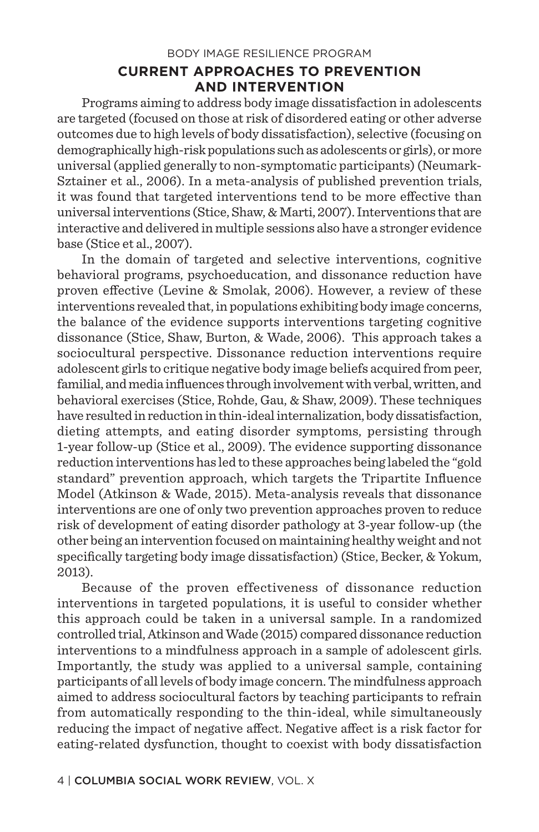## **CURRENT APPROACHES TO PREVENTION AND INTERVENTION**

Programs aiming to address body image dissatisfaction in adolescents are targeted (focused on those at risk of disordered eating or other adverse outcomes due to high levels of body dissatisfaction), selective (focusing on demographically high-risk populations such as adolescents or girls), or more universal (applied generally to non-symptomatic participants) (Neumark-Sztainer et al., 2006). In a meta-analysis of published prevention trials, it was found that targeted interventions tend to be more effective than universal interventions (Stice, Shaw, & Marti, 2007). Interventions that are interactive and delivered in multiple sessions also have a stronger evidence base (Stice et al., 2007).

In the domain of targeted and selective interventions, cognitive behavioral programs, psychoeducation, and dissonance reduction have proven effective (Levine & Smolak, 2006). However, a review of these interventions revealed that, in populations exhibiting body image concerns, the balance of the evidence supports interventions targeting cognitive dissonance (Stice, Shaw, Burton, & Wade, 2006). This approach takes a sociocultural perspective. Dissonance reduction interventions require adolescent girls to critique negative body image beliefs acquired from peer, familial, and media influences through involvement with verbal, written, and behavioral exercises (Stice, Rohde, Gau, & Shaw, 2009). These techniques have resulted in reduction in thin-ideal internalization, body dissatisfaction, dieting attempts, and eating disorder symptoms, persisting through 1-year follow-up (Stice et al., 2009). The evidence supporting dissonance reduction interventions has led to these approaches being labeled the "gold standard" prevention approach, which targets the Tripartite Influence Model (Atkinson & Wade, 2015). Meta-analysis reveals that dissonance interventions are one of only two prevention approaches proven to reduce risk of development of eating disorder pathology at 3-year follow-up (the other being an intervention focused on maintaining healthy weight and not specifically targeting body image dissatisfaction) (Stice, Becker, & Yokum, 2013).

Because of the proven effectiveness of dissonance reduction interventions in targeted populations, it is useful to consider whether this approach could be taken in a universal sample. In a randomized controlled trial, Atkinson and Wade (2015) compared dissonance reduction interventions to a mindfulness approach in a sample of adolescent girls. Importantly, the study was applied to a universal sample, containing participants of all levels of body image concern. The mindfulness approach aimed to address sociocultural factors by teaching participants to refrain from automatically responding to the thin-ideal, while simultaneously reducing the impact of negative affect. Negative affect is a risk factor for eating-related dysfunction, thought to coexist with body dissatisfaction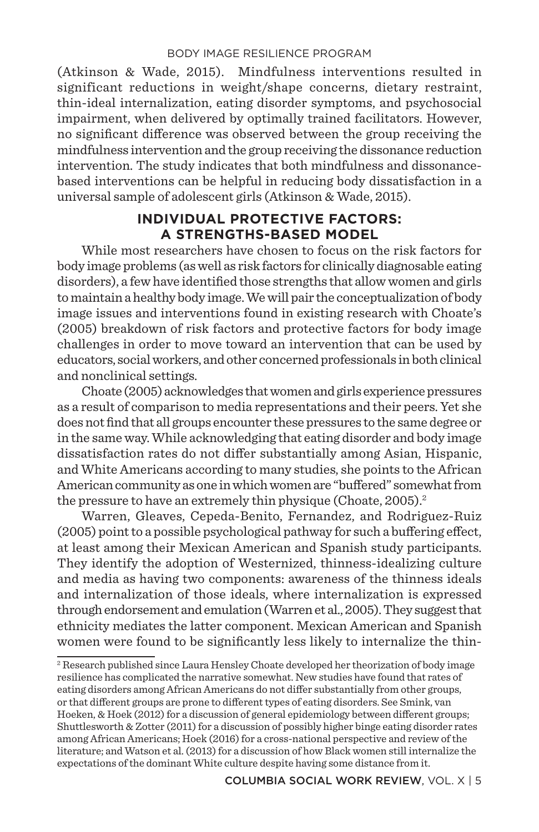(Atkinson & Wade, 2015). Mindfulness interventions resulted in significant reductions in weight/shape concerns, dietary restraint, thin-ideal internalization, eating disorder symptoms, and psychosocial impairment, when delivered by optimally trained facilitators. However, no significant difference was observed between the group receiving the mindfulness intervention and the group receiving the dissonance reduction intervention. The study indicates that both mindfulness and dissonancebased interventions can be helpful in reducing body dissatisfaction in a universal sample of adolescent girls (Atkinson & Wade, 2015).

### **INDIVIDUAL PROTECTIVE FACTORS: A STRENGTHS-BASED MODEL**

While most researchers have chosen to focus on the risk factors for body image problems (as well as risk factors for clinically diagnosable eating disorders), a few have identified those strengths that allow women and girls to maintain a healthy body image. We will pair the conceptualization of body image issues and interventions found in existing research with Choate's (2005) breakdown of risk factors and protective factors for body image challenges in order to move toward an intervention that can be used by educators, social workers, and other concerned professionals in both clinical and nonclinical settings.

Choate (2005) acknowledges that women and girls experience pressures as a result of comparison to media representations and their peers. Yet she does not find that all groups encounter these pressures to the same degree or in the same way. While acknowledging that eating disorder and body image dissatisfaction rates do not differ substantially among Asian, Hispanic, and White Americans according to many studies, she points to the African American community as one in which women are "buffered" somewhat from the pressure to have an extremely thin physique (Choate, 2005).<sup>2</sup>

Warren, Gleaves, Cepeda-Benito, Fernandez, and Rodriguez-Ruiz (2005) point to a possible psychological pathway for such a buffering effect, at least among their Mexican American and Spanish study participants. They identify the adoption of Westernized, thinness-idealizing culture and media as having two components: awareness of the thinness ideals and internalization of those ideals, where internalization is expressed through endorsement and emulation (Warren et al., 2005). They suggest that ethnicity mediates the latter component. Mexican American and Spanish women were found to be significantly less likely to internalize the thin-

<sup>2</sup> Research published since Laura Hensley Choate developed her theorization of body image resilience has complicated the narrative somewhat. New studies have found that rates of eating disorders among African Americans do not differ substantially from other groups, or that different groups are prone to different types of eating disorders. See Smink, van Hoeken, & Hoek (2012) for a discussion of general epidemiology between different groups; Shuttlesworth & Zotter (2011) for a discussion of possibly higher binge eating disorder rates among African Americans; Hoek (2016) for a cross-national perspective and review of the literature; and Watson et al. (2013) for a discussion of how Black women still internalize the expectations of the dominant White culture despite having some distance from it.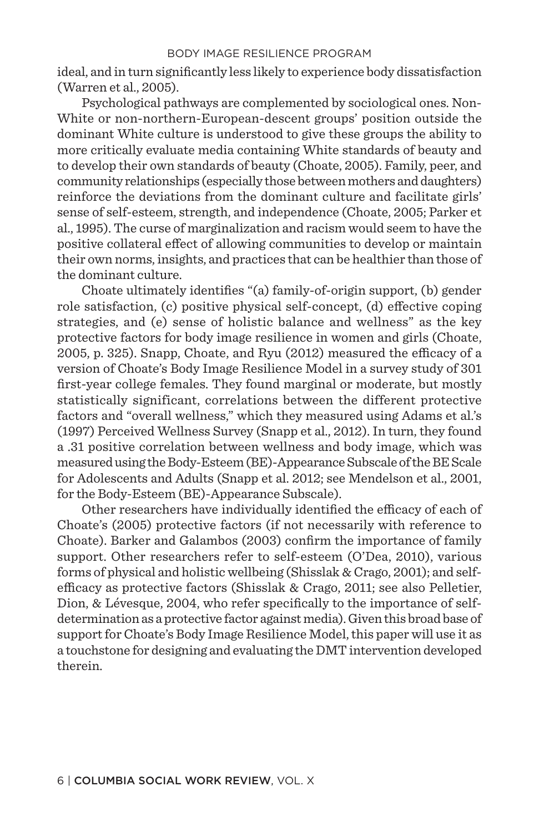ideal, and in turn significantly less likely to experience body dissatisfaction (Warren et al., 2005).

Psychological pathways are complemented by sociological ones. Non-White or non-northern-European-descent groups' position outside the dominant White culture is understood to give these groups the ability to more critically evaluate media containing White standards of beauty and to develop their own standards of beauty (Choate, 2005). Family, peer, and community relationships (especially those between mothers and daughters) reinforce the deviations from the dominant culture and facilitate girls' sense of self-esteem, strength, and independence (Choate, 2005; Parker et al., 1995). The curse of marginalization and racism would seem to have the positive collateral effect of allowing communities to develop or maintain their own norms, insights, and practices that can be healthier than those of the dominant culture.

Choate ultimately identifies "(a) family-of-origin support, (b) gender role satisfaction, (c) positive physical self-concept, (d) effective coping strategies, and (e) sense of holistic balance and wellness" as the key protective factors for body image resilience in women and girls (Choate, 2005, p. 325). Snapp, Choate, and Ryu (2012) measured the efficacy of a version of Choate's Body Image Resilience Model in a survey study of 301 first-year college females. They found marginal or moderate, but mostly statistically significant, correlations between the different protective factors and "overall wellness," which they measured using Adams et al.'s (1997) Perceived Wellness Survey (Snapp et al., 2012). In turn, they found a .31 positive correlation between wellness and body image, which was measured using the Body-Esteem (BE)-Appearance Subscale of the BE Scale for Adolescents and Adults (Snapp et al. 2012; see Mendelson et al., 2001, for the Body-Esteem (BE)-Appearance Subscale).

Other researchers have individually identified the efficacy of each of Choate's (2005) protective factors (if not necessarily with reference to Choate). Barker and Galambos (2003) confirm the importance of family support. Other researchers refer to self-esteem (O'Dea, 2010), various forms of physical and holistic wellbeing (Shisslak & Crago, 2001); and selfefficacy as protective factors (Shisslak & Crago, 2011; see also Pelletier, Dion, & Lévesque, 2004, who refer specifically to the importance of selfdetermination as a protective factor against media). Given this broad base of support for Choate's Body Image Resilience Model, this paper will use it as a touchstone for designing and evaluating the DMT intervention developed therein.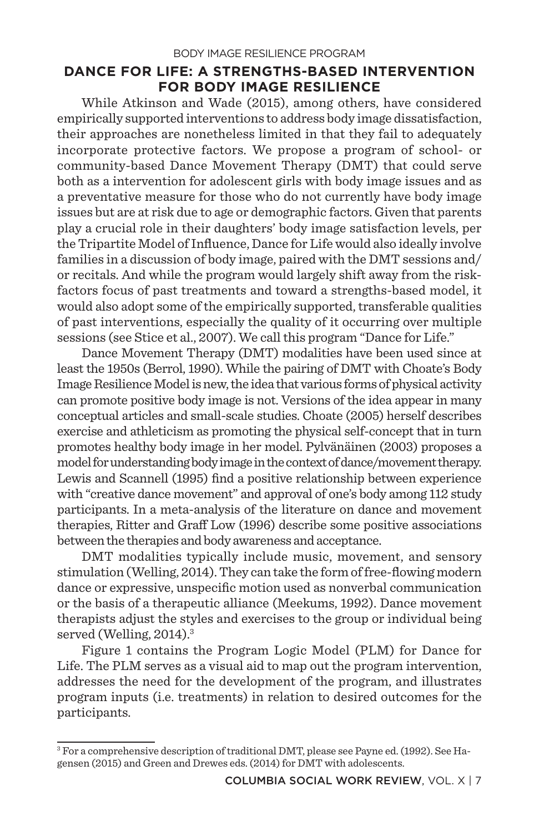### **DANCE FOR LIFE: A STRENGTHS-BASED INTERVENTION FOR BODY IMAGE RESILIENCE**

While Atkinson and Wade (2015), among others, have considered empirically supported interventions to address body image dissatisfaction, their approaches are nonetheless limited in that they fail to adequately incorporate protective factors. We propose a program of school- or community-based Dance Movement Therapy (DMT) that could serve both as a intervention for adolescent girls with body image issues and as a preventative measure for those who do not currently have body image issues but are at risk due to age or demographic factors. Given that parents play a crucial role in their daughters' body image satisfaction levels, per the Tripartite Model of Influence, Dance for Life would also ideally involve families in a discussion of body image, paired with the DMT sessions and/ or recitals. And while the program would largely shift away from the riskfactors focus of past treatments and toward a strengths-based model, it would also adopt some of the empirically supported, transferable qualities of past interventions, especially the quality of it occurring over multiple sessions (see Stice et al., 2007). We call this program "Dance for Life."

Dance Movement Therapy (DMT) modalities have been used since at least the 1950s (Berrol, 1990). While the pairing of DMT with Choate's Body Image Resilience Model is new, the idea that various forms of physical activity can promote positive body image is not. Versions of the idea appear in many conceptual articles and small-scale studies. Choate (2005) herself describes exercise and athleticism as promoting the physical self-concept that in turn promotes healthy body image in her model. Pylvänäinen (2003) proposes a model for understanding body image in the context of dance/movement therapy. Lewis and Scannell (1995) find a positive relationship between experience with "creative dance movement" and approval of one's body among 112 study participants. In a meta-analysis of the literature on dance and movement therapies, Ritter and Graff Low (1996) describe some positive associations between the therapies and body awareness and acceptance.

DMT modalities typically include music, movement, and sensory stimulation (Welling, 2014). They can take the form of free-flowing modern dance or expressive, unspecific motion used as nonverbal communication or the basis of a therapeutic alliance (Meekums, 1992). Dance movement therapists adjust the styles and exercises to the group or individual being served (Welling, 2014).<sup>3</sup>

Figure 1 contains the Program Logic Model (PLM) for Dance for Life. The PLM serves as a visual aid to map out the program intervention, addresses the need for the development of the program, and illustrates program inputs (i.e. treatments) in relation to desired outcomes for the participants.

<sup>3</sup> For a comprehensive description of traditional DMT, please see Payne ed. (1992). See Hagensen (2015) and Green and Drewes eds. (2014) for DMT with adolescents.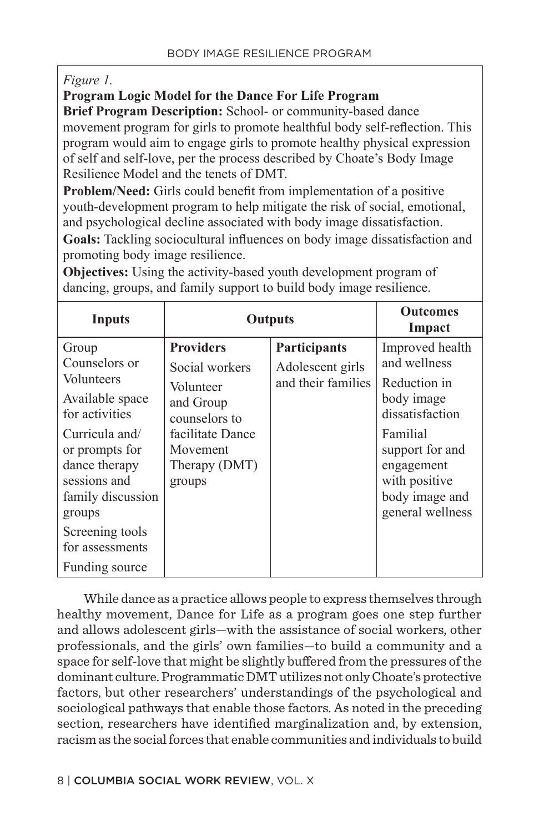### *Figure 1.*

### **Program Logic Model for the Dance For Life Program**

**Brief Program Description:** School- or community-based dance movement program for girls to promote healthful body self-reflection. This program would aim to engage girls to promote healthy physical expression of self and self-love, per the process described by Choate's Body Image Resilience Model and the tenets of DMT.

**Problem/Need:** Girls could benefit from implementation of a positive youth-development program to help mitigate the risk of social, emotional, and psychological decline associated with body image dissatisfaction.

**Goals:** Tackling sociocultural influences on body image dissatisfaction and promoting body image resilience.

**Objectives:** Using the activity-based youth development program of dancing, groups, and family support to build body image resilience.

| Inputs                                                                                                                                                                                                                                | Outputs                                                                                                                                  |                                                               | <b>Outcomes</b><br>Impact                                                                                                                                                            |
|---------------------------------------------------------------------------------------------------------------------------------------------------------------------------------------------------------------------------------------|------------------------------------------------------------------------------------------------------------------------------------------|---------------------------------------------------------------|--------------------------------------------------------------------------------------------------------------------------------------------------------------------------------------|
| Group<br>Counselors or<br>Volunteers<br>Available space<br>for activities<br>Curricula and/<br>or prompts for<br>dance therapy<br>sessions and<br>family discussion<br>groups<br>Screening tools<br>for assessments<br>Funding source | <b>Providers</b><br>Social workers<br>Volunteer<br>and Group<br>counselors to<br>facilitate Dance<br>Movement<br>Therapy (DMT)<br>groups | <b>Participants</b><br>Adolescent girls<br>and their families | Improved health<br>and wellness<br>Reduction in<br>body image<br>dissatisfaction<br>Familial<br>support for and<br>engagement<br>with positive<br>body image and<br>general wellness |

 While dance as a practice allows people to express themselves through healthy movement, Dance for Life as a program goes one step further and allows adolescent girls—with the assistance of social workers, other professionals, and the girls' own families—to build a community and a space for self-love that might be slightly buffered from the pressures of the dominant culture. Programmatic DMT utilizes not only Choate's protective factors, but other researchers' understandings of the psychological and sociological pathways that enable those factors. As noted in the preceding section, researchers have identified marginalization and, by extension, racism as the social forces that enable communities and individuals to build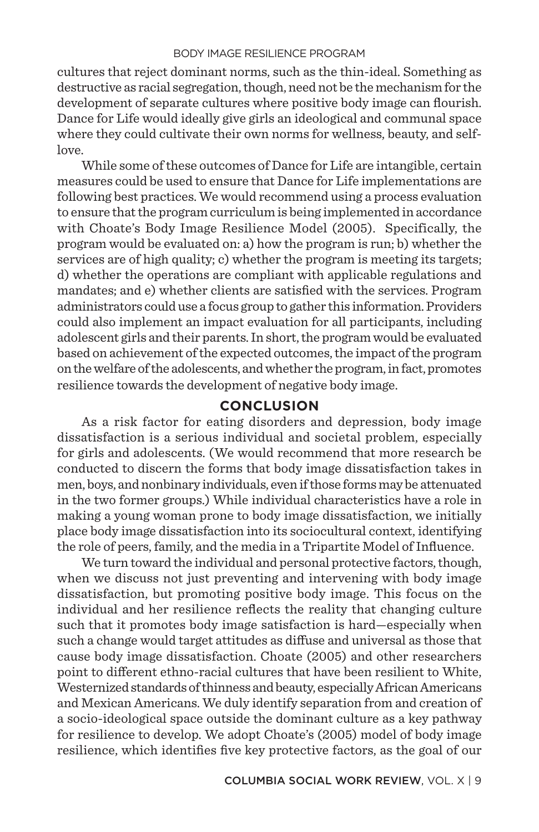cultures that reject dominant norms, such as the thin-ideal. Something as destructive as racial segregation, though, need not be the mechanism for the development of separate cultures where positive body image can flourish. Dance for Life would ideally give girls an ideological and communal space where they could cultivate their own norms for wellness, beauty, and selflove.

While some of these outcomes of Dance for Life are intangible, certain measures could be used to ensure that Dance for Life implementations are following best practices. We would recommend using a process evaluation to ensure that the program curriculum is being implemented in accordance with Choate's Body Image Resilience Model (2005). Specifically, the program would be evaluated on: a) how the program is run; b) whether the services are of high quality; c) whether the program is meeting its targets; d) whether the operations are compliant with applicable regulations and mandates; and e) whether clients are satisfied with the services. Program administrators could use a focus group to gather this information. Providers could also implement an impact evaluation for all participants, including adolescent girls and their parents. In short, the program would be evaluated based on achievement of the expected outcomes, the impact of the program on the welfare of the adolescents, and whether the program, in fact, promotes resilience towards the development of negative body image.

#### **CONCLUSION**

As a risk factor for eating disorders and depression, body image dissatisfaction is a serious individual and societal problem, especially for girls and adolescents. (We would recommend that more research be conducted to discern the forms that body image dissatisfaction takes in men, boys, and nonbinary individuals, even if those forms may be attenuated in the two former groups.) While individual characteristics have a role in making a young woman prone to body image dissatisfaction, we initially place body image dissatisfaction into its sociocultural context, identifying the role of peers, family, and the media in a Tripartite Model of Influence.

We turn toward the individual and personal protective factors, though, when we discuss not just preventing and intervening with body image dissatisfaction, but promoting positive body image. This focus on the individual and her resilience reflects the reality that changing culture such that it promotes body image satisfaction is hard—especially when such a change would target attitudes as diffuse and universal as those that cause body image dissatisfaction. Choate (2005) and other researchers point to different ethno-racial cultures that have been resilient to White, Westernized standards of thinness and beauty, especially African Americans and Mexican Americans. We duly identify separation from and creation of a socio-ideological space outside the dominant culture as a key pathway for resilience to develop. We adopt Choate's (2005) model of body image resilience, which identifies five key protective factors, as the goal of our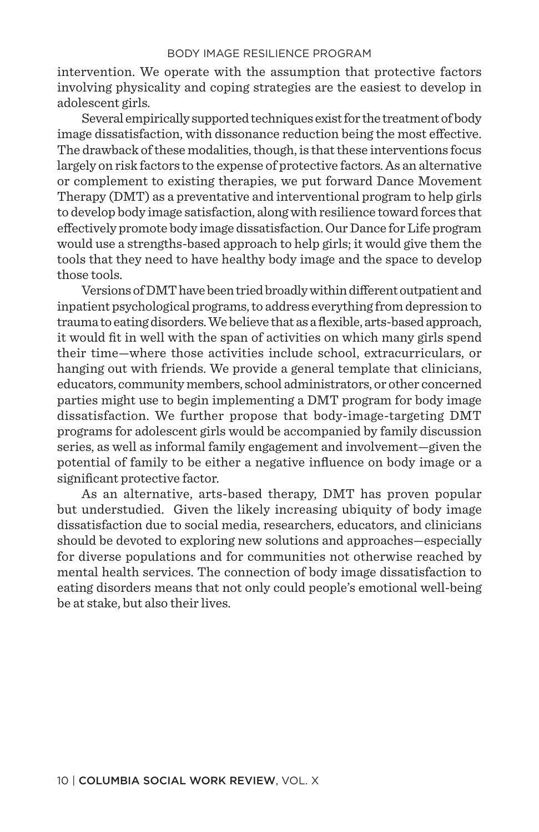intervention. We operate with the assumption that protective factors involving physicality and coping strategies are the easiest to develop in adolescent girls.

Several empirically supported techniques exist for the treatment of body image dissatisfaction, with dissonance reduction being the most effective. The drawback of these modalities, though, is that these interventions focus largely on risk factors to the expense of protective factors. As an alternative or complement to existing therapies, we put forward Dance Movement Therapy (DMT) as a preventative and interventional program to help girls to develop body image satisfaction, along with resilience toward forces that effectively promote body image dissatisfaction. Our Dance for Life program would use a strengths-based approach to help girls; it would give them the tools that they need to have healthy body image and the space to develop those tools.

Versions of DMT have been tried broadly within different outpatient and inpatient psychological programs, to address everything from depression to trauma to eating disorders. We believe that as a flexible, arts-based approach, it would fit in well with the span of activities on which many girls spend their time—where those activities include school, extracurriculars, or hanging out with friends. We provide a general template that clinicians, educators, community members, school administrators, or other concerned parties might use to begin implementing a DMT program for body image dissatisfaction. We further propose that body-image-targeting DMT programs for adolescent girls would be accompanied by family discussion series, as well as informal family engagement and involvement—given the potential of family to be either a negative influence on body image or a significant protective factor.

As an alternative, arts-based therapy, DMT has proven popular but understudied. Given the likely increasing ubiquity of body image dissatisfaction due to social media, researchers, educators, and clinicians should be devoted to exploring new solutions and approaches—especially for diverse populations and for communities not otherwise reached by mental health services. The connection of body image dissatisfaction to eating disorders means that not only could people's emotional well-being be at stake, but also their lives.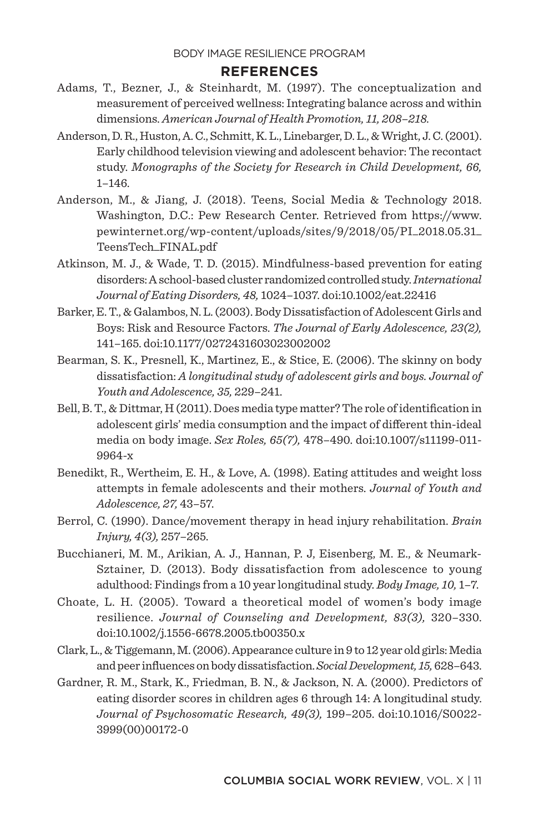### **REFERENCES**

- Adams, T., Bezner, J., & Steinhardt, M. (1997). The conceptualization and measurement of perceived wellness: Integrating balance across and within dimensions. *American Journal of Health Promotion, 11, 208–218.*
- Anderson, D. R., Huston, A. C., Schmitt, K. L., Linebarger, D. L., & Wright, J. C. (2001). Early childhood television viewing and adolescent behavior: The recontact study. *Monographs of the Society for Research in Child Development, 66,* 1–146.
- Anderson, M., & Jiang, J. (2018). Teens, Social Media & Technology 2018. Washington, D.C.: Pew Research Center. Retrieved from https://www. pewinternet.org/wp-content/uploads/sites/9/2018/05/PI\_2018.05.31\_ TeensTech\_FINAL.pdf
- Atkinson, M. J., & Wade, T. D. (2015). Mindfulness-based prevention for eating disorders: A school-based cluster randomized controlled study. *International Journal of Eating Disorders, 48,* 1024–1037. doi:10.1002/eat.22416
- Barker, E. T., & Galambos, N. L. (2003). Body Dissatisfaction of Adolescent Girls and Boys: Risk and Resource Factors. *The Journal of Early Adolescence, 23(2),* 141–165. doi:10.1177/0272431603023002002
- Bearman, S. K., Presnell, K., Martinez, E., & Stice, E. (2006). The skinny on body dissatisfaction: *A longitudinal study of adolescent girls and boys. Journal of Youth and Adolescence, 35,* 229–241.
- Bell, B. T., & Dittmar, H (2011). Does media type matter? The role of identification in adolescent girls' media consumption and the impact of different thin-ideal media on body image. *Sex Roles, 65(7),* 478–490. doi:10.1007/s11199-011- 9964-x
- Benedikt, R., Wertheim, E. H., & Love, A. (1998). Eating attitudes and weight loss attempts in female adolescents and their mothers. *Journal of Youth and Adolescence, 27,* 43–57.
- Berrol, C. (1990). Dance/movement therapy in head injury rehabilitation. *Brain Injury, 4(3),* 257–265.
- Bucchianeri, M. M., Arikian, A. J., Hannan, P. J, Eisenberg, M. E., & Neumark-Sztainer, D. (2013). Body dissatisfaction from adolescence to young adulthood: Findings from a 10 year longitudinal study. *Body Image, 10,* 1–7.
- Choate, L. H. (2005). Toward a theoretical model of women's body image resilience. *Journal of Counseling and Development, 83(3),* 320–330. doi:10.1002/j.1556-6678.2005.tb00350.x
- Clark, L., & Tiggemann, M. (2006). Appearance culture in 9 to 12 year old girls: Media and peer influences on body dissatisfaction. *Social Development, 15,* 628–643.
- Gardner, R. M., Stark, K., Friedman, B. N., & Jackson, N. A. (2000). Predictors of eating disorder scores in children ages 6 through 14: A longitudinal study. *Journal of Psychosomatic Research, 49(3),* 199–205. doi:10.1016/S0022- 3999(00)00172-0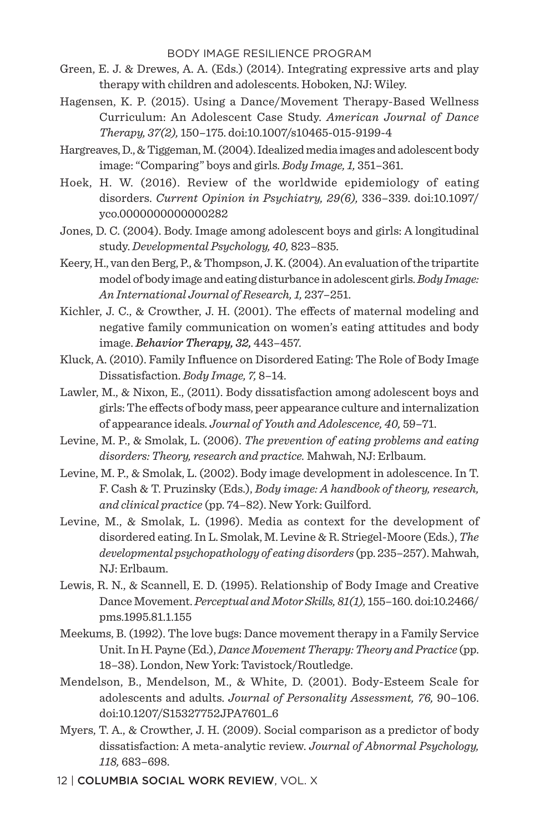- Green, E. J. & Drewes, A. A. (Eds.) (2014). Integrating expressive arts and play therapy with children and adolescents. Hoboken, NJ: Wiley.
- Hagensen, K. P. (2015). Using a Dance/Movement Therapy-Based Wellness Curriculum: An Adolescent Case Study. *American Journal of Dance Therapy, 37(2),* 150–175. doi:10.1007/s10465-015-9199-4
- Hargreaves, D., & Tiggeman, M. (2004). Idealized media images and adolescent body image: "Comparing" boys and girls. *Body Image, 1,* 351–361.
- Hoek, H. W. (2016). Review of the worldwide epidemiology of eating disorders. *Current Opinion in Psychiatry, 29(6),* 336–339. doi:10.1097/ yco.0000000000000282
- Jones, D. C. (2004). Body. Image among adolescent boys and girls: A longitudinal study. *Developmental Psychology, 40,* 823–835.
- Keery, H., van den Berg, P., & Thompson, J. K. (2004). An evaluation of the tripartite model of body image and eating disturbance in adolescent girls. *Body Image: An International Journal of Research, 1,* 237–251.
- Kichler, J. C., & Crowther, J. H. (2001). The effects of maternal modeling and negative family communication on women's eating attitudes and body image. *Behavior Therapy, 32,* 443–457.
- Kluck, A. (2010). Family Influence on Disordered Eating: The Role of Body Image Dissatisfaction. *Body Image, 7,* 8–14.
- Lawler, M., & Nixon, E., (2011). Body dissatisfaction among adolescent boys and girls: The effects of body mass, peer appearance culture and internalization of appearance ideals. *Journal of Youth and Adolescence, 40,* 59–71.
- Levine, M. P., & Smolak, L. (2006). *The prevention of eating problems and eating disorders: Theory, research and practice.* Mahwah, NJ: Erlbaum.
- Levine, M. P., & Smolak, L. (2002). Body image development in adolescence. In T. F. Cash & T. Pruzinsky (Eds.), *Body image: A handbook of theory, research, and clinical practice* (pp. 74–82). New York: Guilford.
- Levine, M., & Smolak, L. (1996). Media as context for the development of disordered eating. In L. Smolak, M. Levine & R. Striegel-Moore (Eds.), *The developmental psychopathology of eating disorders* (pp. 235–257). Mahwah, NJ: Erlbaum.
- Lewis, R. N., & Scannell, E. D. (1995). Relationship of Body Image and Creative Dance Movement. *Perceptual and Motor Skills, 81(1),* 155–160. doi:10.2466/ pms.1995.81.1.155
- Meekums, B. (1992). The love bugs: Dance movement therapy in a Family Service Unit. In H. Payne (Ed.), *Dance Movement Therapy: Theory and Practice* (pp. 18–38). London, New York: Tavistock/Routledge.
- Mendelson, B., Mendelson, M., & White, D. (2001). Body-Esteem Scale for adolescents and adults. *Journal of Personality Assessment, 76,* 90–106. doi:10.1207/S15327752JPA7601\_6
- Myers, T. A., & Crowther, J. H. (2009). Social comparison as a predictor of body dissatisfaction: A meta-analytic review. *Journal of Abnormal Psychology, 118,* 683–698.
- 12 | COLUMBIA SOCIAL WORK REVIEW, VOL. X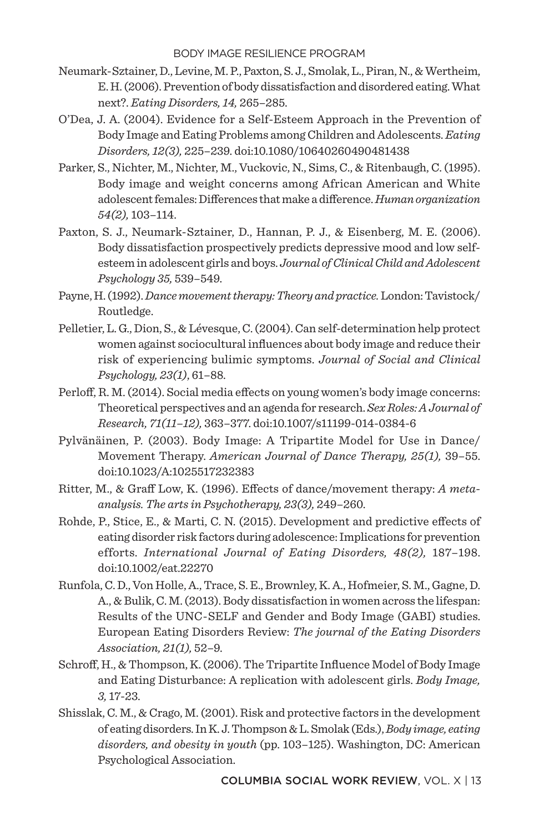- Neumark-Sztainer, D., Levine, M. P., Paxton, S. J., Smolak, L., Piran, N., & Wertheim, E. H. (2006). Prevention of body dissatisfaction and disordered eating. What next?. *Eating Disorders, 14,* 265–285.
- O'Dea, J. A. (2004). Evidence for a Self-Esteem Approach in the Prevention of Body Image and Eating Problems among Children and Adolescents. *Eating Disorders, 12(3),* 225–239. doi:10.1080/10640260490481438
- Parker, S., Nichter, M., Nichter, M., Vuckovic, N., Sims, C., & Ritenbaugh, C. (1995). Body image and weight concerns among African American and White adolescent females: Differences that make a difference. *Human organization 54(2),* 103–114.
- Paxton, S. J., Neumark-Sztainer, D., Hannan, P. J., & Eisenberg, M. E. (2006). Body dissatisfaction prospectively predicts depressive mood and low selfesteem in adolescent girls and boys. *Journal of Clinical Child and Adolescent Psychology 35,* 539–549.
- Payne, H. (1992). *Dance movement therapy: Theory and practice.* London: Tavistock/ Routledge.
- Pelletier, L. G., Dion, S., & Lévesque, C. (2004). Can self-determination help protect women against sociocultural influences about body image and reduce their risk of experiencing bulimic symptoms. *Journal of Social and Clinical Psychology, 23(1)*, 61–88.
- Perloff, R. M. (2014). Social media effects on young women's body image concerns: Theoretical perspectives and an agenda for research. *Sex Roles: A Journal of Research, 71(11–12),* 363–377. doi:10.1007/s11199-014-0384-6
- Pylvänäinen, P. (2003). Body Image: A Tripartite Model for Use in Dance/ Movement Therapy. *American Journal of Dance Therapy, 25(1),* 39–55. doi:10.1023/A:1025517232383
- Ritter, M., & Graff Low, K. (1996). Effects of dance/movement therapy: *A metaanalysis. The arts in Psychotherapy, 23(3),* 249–260.
- Rohde, P., Stice, E., & Marti, C. N. (2015). Development and predictive effects of eating disorder risk factors during adolescence: Implications for prevention efforts. *International Journal of Eating Disorders, 48(2),* 187–198. doi:10.1002/eat.22270
- Runfola, C. D., Von Holle, A., Trace, S. E., Brownley, K. A., Hofmeier, S. M., Gagne, D. A., & Bulik, C. M. (2013). Body dissatisfaction in women across the lifespan: Results of the UNC-SELF and Gender and Body Image (GABI) studies. European Eating Disorders Review: *The journal of the Eating Disorders Association, 21(1),* 52–9.
- Schroff, H., & Thompson, K. (2006). The Tripartite Influence Model of Body Image and Eating Disturbance: A replication with adolescent girls. *Body Image, 3,* 17-23.
- Shisslak, C. M., & Crago, M. (2001). Risk and protective factors in the development of eating disorders. In K. J. Thompson & L. Smolak (Eds.), *Body image, eating disorders, and obesity in youth* (pp. 103–125). Washington, DC: American Psychological Association.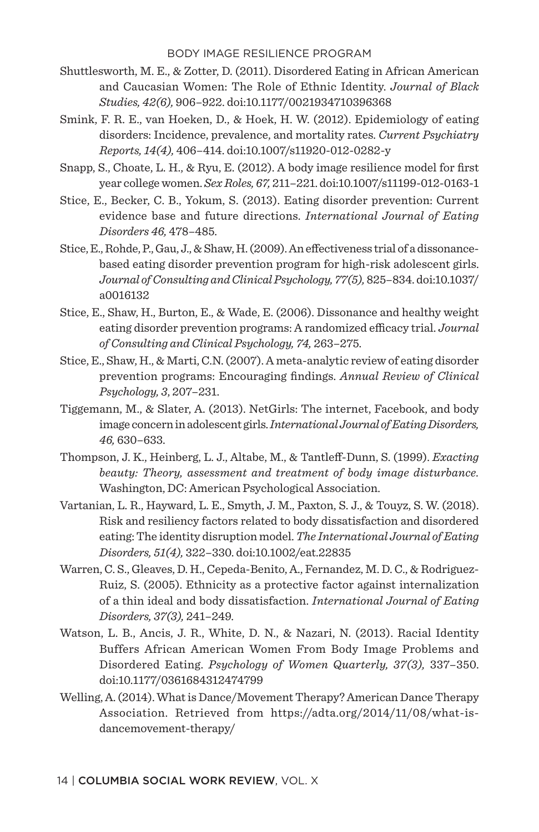- Shuttlesworth, M. E., & Zotter, D. (2011). Disordered Eating in African American and Caucasian Women: The Role of Ethnic Identity. *Journal of Black Studies, 42(6),* 906–922. doi:10.1177/0021934710396368
- Smink, F. R. E., van Hoeken, D., & Hoek, H. W. (2012). Epidemiology of eating disorders: Incidence, prevalence, and mortality rates. *Current Psychiatry Reports, 14(4),* 406–414. doi:10.1007/s11920-012-0282-y
- Snapp, S., Choate, L. H., & Ryu, E. (2012). A body image resilience model for first year college women. *Sex Roles, 67,* 211–221. doi:10.1007/s11199-012-0163-1
- Stice, E., Becker, C. B., Yokum, S. (2013). Eating disorder prevention: Current evidence base and future directions. *International Journal of Eating Disorders 46,* 478–485.
- Stice, E., Rohde, P., Gau, J., & Shaw, H. (2009). An effectiveness trial of a dissonancebased eating disorder prevention program for high-risk adolescent girls. *Journal of Consulting and Clinical Psychology, 77(5),* 825–834. doi:10.1037/ a0016132
- Stice, E., Shaw, H., Burton, E., & Wade, E. (2006). Dissonance and healthy weight eating disorder prevention programs: A randomized efficacy trial. *Journal of Consulting and Clinical Psychology, 74,* 263–275.
- Stice, E., Shaw, H., & Marti, C.N. (2007). A meta-analytic review of eating disorder prevention programs: Encouraging findings. *Annual Review of Clinical Psychology, 3*, 207–231.
- Tiggemann, M., & Slater, A. (2013). NetGirls: The internet, Facebook, and body image concern in adolescent girls. *International Journal of Eating Disorders, 46,* 630–633.
- Thompson, J. K., Heinberg, L. J., Altabe, M., & Tantleff-Dunn, S. (1999). *Exacting beauty: Theory, assessment and treatment of body image disturbance.* Washington, DC: American Psychological Association.
- Vartanian, L. R., Hayward, L. E., Smyth, J. M., Paxton, S. J., & Touyz, S. W. (2018). Risk and resiliency factors related to body dissatisfaction and disordered eating: The identity disruption model. *The International Journal of Eating Disorders, 51(4),* 322–330. doi:10.1002/eat.22835
- Warren, C. S., Gleaves, D. H., Cepeda-Benito, A., Fernandez, M. D. C., & Rodriguez-Ruiz, S. (2005). Ethnicity as a protective factor against internalization of a thin ideal and body dissatisfaction. *International Journal of Eating Disorders, 37(3),* 241–249.
- Watson, L. B., Ancis, J. R., White, D. N., & Nazari, N. (2013). Racial Identity Buffers African American Women From Body Image Problems and Disordered Eating. *Psychology of Women Quarterly, 37(3),* 337–350. doi:10.1177/0361684312474799
- Welling, A. (2014). What is Dance/Movement Therapy? American Dance Therapy Association. Retrieved from https://adta.org/2014/11/08/what-isdancemovement-therapy/